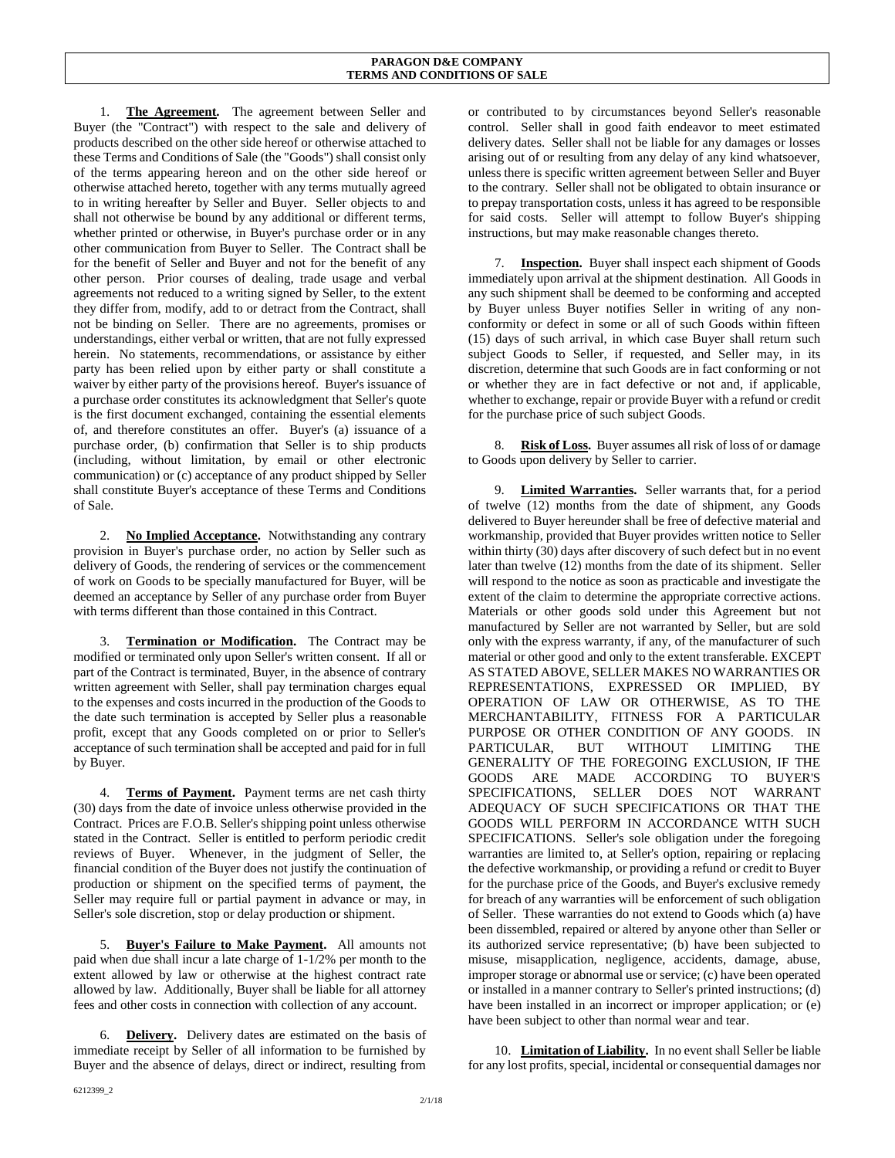1. **The Agreement.** The agreement between Seller and Buyer (the "Contract") with respect to the sale and delivery of products described on the other side hereof or otherwise attached to these Terms and Conditions of Sale (the "Goods") shall consist only of the terms appearing hereon and on the other side hereof or otherwise attached hereto, together with any terms mutually agreed to in writing hereafter by Seller and Buyer. Seller objects to and shall not otherwise be bound by any additional or different terms, whether printed or otherwise, in Buyer's purchase order or in any other communication from Buyer to Seller. The Contract shall be for the benefit of Seller and Buyer and not for the benefit of any other person. Prior courses of dealing, trade usage and verbal agreements not reduced to a writing signed by Seller, to the extent they differ from, modify, add to or detract from the Contract, shall not be binding on Seller. There are no agreements, promises or understandings, either verbal or written, that are not fully expressed herein. No statements, recommendations, or assistance by either party has been relied upon by either party or shall constitute a waiver by either party of the provisions hereof. Buyer's issuance of a purchase order constitutes its acknowledgment that Seller's quote is the first document exchanged, containing the essential elements of, and therefore constitutes an offer. Buyer's (a) issuance of a purchase order, (b) confirmation that Seller is to ship products (including, without limitation, by email or other electronic communication) or (c) acceptance of any product shipped by Seller shall constitute Buyer's acceptance of these Terms and Conditions of Sale.

2. **No Implied Acceptance.** Notwithstanding any contrary provision in Buyer's purchase order, no action by Seller such as delivery of Goods, the rendering of services or the commencement of work on Goods to be specially manufactured for Buyer, will be deemed an acceptance by Seller of any purchase order from Buyer with terms different than those contained in this Contract.

3. **Termination or Modification.** The Contract may be modified or terminated only upon Seller's written consent. If all or part of the Contract is terminated, Buyer, in the absence of contrary written agreement with Seller, shall pay termination charges equal to the expenses and costs incurred in the production of the Goods to the date such termination is accepted by Seller plus a reasonable profit, except that any Goods completed on or prior to Seller's acceptance of such termination shall be accepted and paid for in full by Buyer.

4. **Terms of Payment.** Payment terms are net cash thirty (30) days from the date of invoice unless otherwise provided in the Contract. Prices are F.O.B. Seller's shipping point unless otherwise stated in the Contract. Seller is entitled to perform periodic credit reviews of Buyer. Whenever, in the judgment of Seller, the financial condition of the Buyer does not justify the continuation of production or shipment on the specified terms of payment, the Seller may require full or partial payment in advance or may, in Seller's sole discretion, stop or delay production or shipment.

5. **Buyer's Failure to Make Payment.** All amounts not paid when due shall incur a late charge of 1-1/2% per month to the extent allowed by law or otherwise at the highest contract rate allowed by law. Additionally, Buyer shall be liable for all attorney fees and other costs in connection with collection of any account.

6. **Delivery.** Delivery dates are estimated on the basis of immediate receipt by Seller of all information to be furnished by Buyer and the absence of delays, direct or indirect, resulting from

or contributed to by circumstances beyond Seller's reasonable control. Seller shall in good faith endeavor to meet estimated delivery dates. Seller shall not be liable for any damages or losses arising out of or resulting from any delay of any kind whatsoever, unless there is specific written agreement between Seller and Buyer to the contrary. Seller shall not be obligated to obtain insurance or to prepay transportation costs, unless it has agreed to be responsible for said costs. Seller will attempt to follow Buyer's shipping instructions, but may make reasonable changes thereto.

7. **Inspection.** Buyer shall inspect each shipment of Goods immediately upon arrival at the shipment destination. All Goods in any such shipment shall be deemed to be conforming and accepted by Buyer unless Buyer notifies Seller in writing of any nonconformity or defect in some or all of such Goods within fifteen (15) days of such arrival, in which case Buyer shall return such subject Goods to Seller, if requested, and Seller may, in its discretion, determine that such Goods are in fact conforming or not or whether they are in fact defective or not and, if applicable, whether to exchange, repair or provide Buyer with a refund or credit for the purchase price of such subject Goods.

8. **Risk of Loss.** Buyer assumes all risk of loss of or damage to Goods upon delivery by Seller to carrier.

9. **Limited Warranties.** Seller warrants that, for a period of twelve (12) months from the date of shipment, any Goods delivered to Buyer hereunder shall be free of defective material and workmanship, provided that Buyer provides written notice to Seller within thirty (30) days after discovery of such defect but in no event later than twelve (12) months from the date of its shipment. Seller will respond to the notice as soon as practicable and investigate the extent of the claim to determine the appropriate corrective actions. Materials or other goods sold under this Agreement but not manufactured by Seller are not warranted by Seller, but are sold only with the express warranty, if any, of the manufacturer of such material or other good and only to the extent transferable. EXCEPT AS STATED ABOVE, SELLER MAKES NO WARRANTIES OR REPRESENTATIONS, EXPRESSED OR IMPLIED, BY OPERATION OF LAW OR OTHERWISE, AS TO THE MERCHANTABILITY, FITNESS FOR A PARTICULAR PURPOSE OR OTHER CONDITION OF ANY GOODS. IN PARTICULAR, BUT WITHOUT LIMITING THE GENERALITY OF THE FOREGOING EXCLUSION, IF THE GOODS ARE MADE ACCORDING TO BUYER'S SPECIFICATIONS, SELLER DOES NOT WARRANT ADEQUACY OF SUCH SPECIFICATIONS OR THAT THE GOODS WILL PERFORM IN ACCORDANCE WITH SUCH SPECIFICATIONS. Seller's sole obligation under the foregoing warranties are limited to, at Seller's option, repairing or replacing the defective workmanship, or providing a refund or credit to Buyer for the purchase price of the Goods, and Buyer's exclusive remedy for breach of any warranties will be enforcement of such obligation of Seller. These warranties do not extend to Goods which (a) have been dissembled, repaired or altered by anyone other than Seller or its authorized service representative; (b) have been subjected to misuse, misapplication, negligence, accidents, damage, abuse, improper storage or abnormal use or service; (c) have been operated or installed in a manner contrary to Seller's printed instructions; (d) have been installed in an incorrect or improper application; or (e) have been subject to other than normal wear and tear.

10. **Limitation of Liability.** In no event shall Seller be liable for any lost profits, special, incidental or consequential damages nor